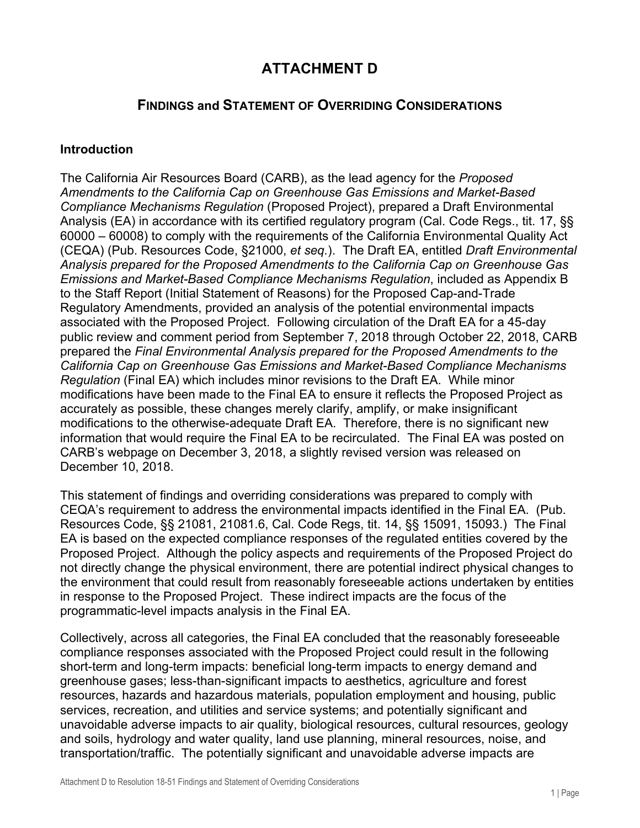# **ATTACHMENT D**

# **FINDINGS and STATEMENT OF OVERRIDING CONSIDERATIONS**

### **Introduction**

The California Air Resources Board (CARB), as the lead agency for the *Proposed Amendments to the California Cap on Greenhouse Gas Emissions and Market-Based Compliance Mechanisms Regulation* (Proposed Project), prepared a Draft Environmental Analysis (EA) in accordance with its certified regulatory program (Cal. Code Regs., tit. 17, §§ 60000 – 60008) to comply with the requirements of the California Environmental Quality Act (CEQA) (Pub. Resources Code, §21000, *et seq.*). The Draft EA, entitled *Draft Environmental Analysis prepared for the Proposed Amendments to the California Cap on Greenhouse Gas Emissions and Market-Based Compliance Mechanisms Regulation*, included as Appendix B to the Staff Report (Initial Statement of Reasons) for the Proposed Cap-and-Trade Regulatory Amendments, provided an analysis of the potential environmental impacts associated with the Proposed Project. Following circulation of the Draft EA for a 45-day public review and comment period from September 7, 2018 through October 22, 2018, CARB prepared the *Final Environmental Analysis prepared for the Proposed Amendments to the California Cap on Greenhouse Gas Emissions and Market-Based Compliance Mechanisms Regulation* (Final EA) which includes minor revisions to the Draft EA. While minor modifications have been made to the Final EA to ensure it reflects the Proposed Project as accurately as possible, these changes merely clarify, amplify, or make insignificant modifications to the otherwise-adequate Draft EA. Therefore, there is no significant new information that would require the Final EA to be recirculated. The Final EA was posted on CARB's webpage on December 3, 2018, a slightly revised version was released on December 10, 2018.

This statement of findings and overriding considerations was prepared to comply with CEQA's requirement to address the environmental impacts identified in the Final EA. (Pub. Resources Code, §§ 21081, 21081.6, Cal. Code Regs, tit. 14, §§ 15091, 15093.) The Final EA is based on the expected compliance responses of the regulated entities covered by the Proposed Project. Although the policy aspects and requirements of the Proposed Project do not directly change the physical environment, there are potential indirect physical changes to the environment that could result from reasonably foreseeable actions undertaken by entities in response to the Proposed Project. These indirect impacts are the focus of the programmatic-level impacts analysis in the Final EA.

Collectively, across all categories, the Final EA concluded that the reasonably foreseeable compliance responses associated with the Proposed Project could result in the following short-term and long-term impacts: beneficial long-term impacts to energy demand and greenhouse gases; less-than-significant impacts to aesthetics, agriculture and forest resources, hazards and hazardous materials, population employment and housing, public services, recreation, and utilities and service systems; and potentially significant and unavoidable adverse impacts to air quality, biological resources, cultural resources, geology and soils, hydrology and water quality, land use planning, mineral resources, noise, and transportation/traffic. The potentially significant and unavoidable adverse impacts are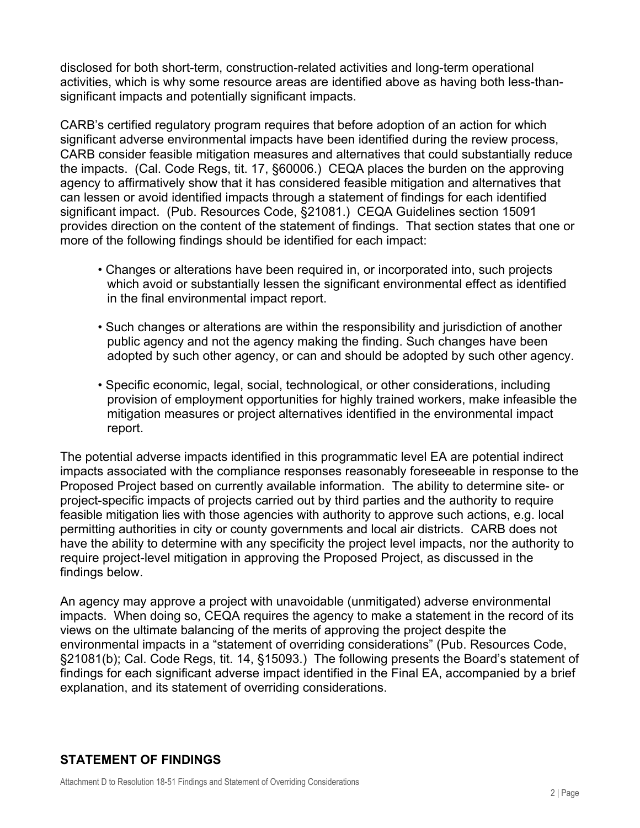disclosed for both short-term, construction-related activities and long-term operational activities, which is why some resource areas are identified above as having both less-thansignificant impacts and potentially significant impacts.

CARB's certified regulatory program requires that before adoption of an action for which significant adverse environmental impacts have been identified during the review process, CARB consider feasible mitigation measures and alternatives that could substantially reduce the impacts. (Cal. Code Regs, tit. 17, §60006.) CEQA places the burden on the approving agency to affirmatively show that it has considered feasible mitigation and alternatives that can lessen or avoid identified impacts through a statement of findings for each identified significant impact. (Pub. Resources Code, §21081.) CEQA Guidelines section 15091 provides direction on the content of the statement of findings. That section states that one or more of the following findings should be identified for each impact:

- Changes or alterations have been required in, or incorporated into, such projects which avoid or substantially lessen the significant environmental effect as identified in the final environmental impact report.
- Such changes or alterations are within the responsibility and jurisdiction of another public agency and not the agency making the finding. Such changes have been adopted by such other agency, or can and should be adopted by such other agency.
- Specific economic, legal, social, technological, or other considerations, including provision of employment opportunities for highly trained workers, make infeasible the mitigation measures or project alternatives identified in the environmental impact report.

The potential adverse impacts identified in this programmatic level EA are potential indirect impacts associated with the compliance responses reasonably foreseeable in response to the Proposed Project based on currently available information. The ability to determine site- or project-specific impacts of projects carried out by third parties and the authority to require feasible mitigation lies with those agencies with authority to approve such actions, e.g. local permitting authorities in city or county governments and local air districts. CARB does not have the ability to determine with any specificity the project level impacts, nor the authority to require project-level mitigation in approving the Proposed Project, as discussed in the findings below.

An agency may approve a project with unavoidable (unmitigated) adverse environmental impacts. When doing so, CEQA requires the agency to make a statement in the record of its views on the ultimate balancing of the merits of approving the project despite the environmental impacts in a "statement of overriding considerations" (Pub. Resources Code, §21081(b); Cal. Code Regs, tit. 14, §15093.) The following presents the Board's statement of findings for each significant adverse impact identified in the Final EA, accompanied by a brief explanation, and its statement of overriding considerations.

# **STATEMENT OF FINDINGS**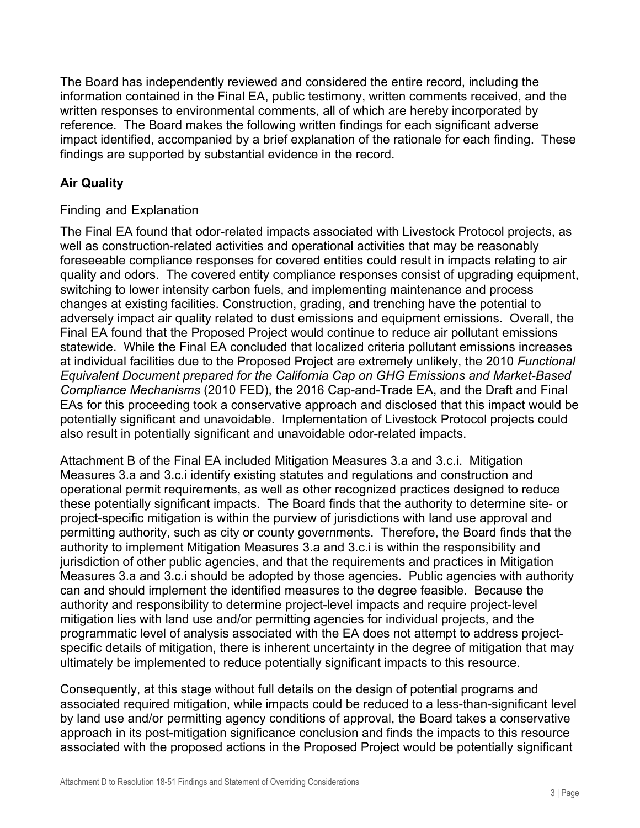The Board has independently reviewed and considered the entire record, including the information contained in the Final EA, public testimony, written comments received, and the written responses to environmental comments, all of which are hereby incorporated by reference. The Board makes the following written findings for each significant adverse impact identified, accompanied by a brief explanation of the rationale for each finding. These findings are supported by substantial evidence in the record.

# **Air Quality**

# Finding and Explanation

The Final EA found that odor-related impacts associated with Livestock Protocol projects, as well as construction-related activities and operational activities that may be reasonably foreseeable compliance responses for covered entities could result in impacts relating to air quality and odors. The covered entity compliance responses consist of upgrading equipment, switching to lower intensity carbon fuels, and implementing maintenance and process changes at existing facilities. Construction, grading, and trenching have the potential to adversely impact air quality related to dust emissions and equipment emissions. Overall, the Final EA found that the Proposed Project would continue to reduce air pollutant emissions statewide. While the Final EA concluded that localized criteria pollutant emissions increases at individual facilities due to the Proposed Project are extremely unlikely, the 2010 *Functional Equivalent Document prepared for the California Cap on GHG Emissions and Market-Based Compliance Mechanisms* (2010 FED), the 2016 Cap-and-Trade EA, and the Draft and Final EAs for this proceeding took a conservative approach and disclosed that this impact would be potentially significant and unavoidable. Implementation of Livestock Protocol projects could also result in potentially significant and unavoidable odor-related impacts.

Attachment B of the Final EA included Mitigation Measures 3.a and 3.c.i. Mitigation Measures 3.a and 3.c.i identify existing statutes and regulations and construction and operational permit requirements, as well as other recognized practices designed to reduce these potentially significant impacts. The Board finds that the authority to determine site- or project-specific mitigation is within the purview of jurisdictions with land use approval and permitting authority, such as city or county governments. Therefore, the Board finds that the authority to implement Mitigation Measures 3.a and 3.c.i is within the responsibility and jurisdiction of other public agencies, and that the requirements and practices in Mitigation Measures 3.a and 3.c.i should be adopted by those agencies. Public agencies with authority can and should implement the identified measures to the degree feasible. Because the authority and responsibility to determine project-level impacts and require project-level mitigation lies with land use and/or permitting agencies for individual projects, and the programmatic level of analysis associated with the EA does not attempt to address projectspecific details of mitigation, there is inherent uncertainty in the degree of mitigation that may ultimately be implemented to reduce potentially significant impacts to this resource.

Consequently, at this stage without full details on the design of potential programs and associated required mitigation, while impacts could be reduced to a less-than-significant level by land use and/or permitting agency conditions of approval, the Board takes a conservative approach in its post-mitigation significance conclusion and finds the impacts to this resource associated with the proposed actions in the Proposed Project would be potentially significant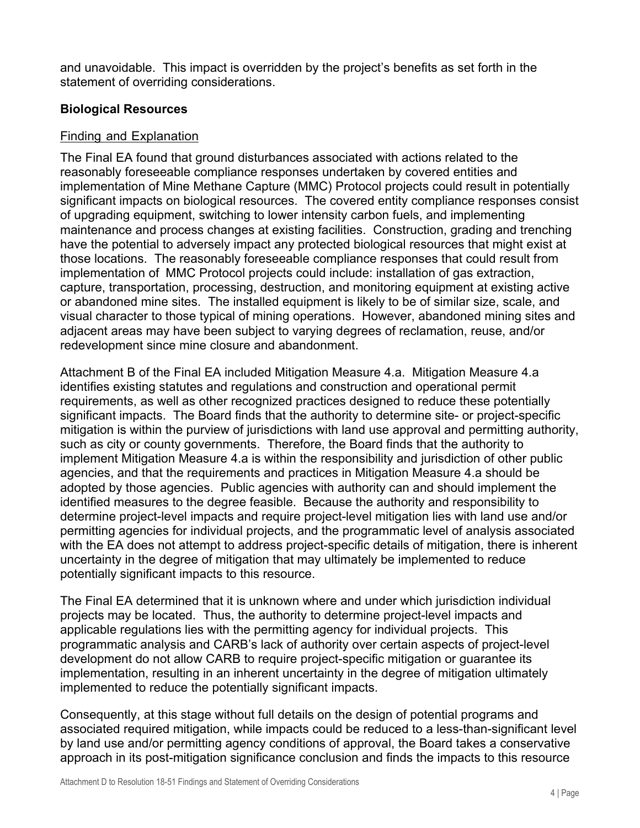and unavoidable. This impact is overridden by the project's benefits as set forth in the statement of overriding considerations.

### **Biological Resources**

### Finding and Explanation

The Final EA found that ground disturbances associated with actions related to the reasonably foreseeable compliance responses undertaken by covered entities and implementation of Mine Methane Capture (MMC) Protocol projects could result in potentially significant impacts on biological resources. The covered entity compliance responses consist of upgrading equipment, switching to lower intensity carbon fuels, and implementing maintenance and process changes at existing facilities. Construction, grading and trenching have the potential to adversely impact any protected biological resources that might exist at those locations. The reasonably foreseeable compliance responses that could result from implementation of MMC Protocol projects could include: installation of gas extraction, capture, transportation, processing, destruction, and monitoring equipment at existing active or abandoned mine sites. The installed equipment is likely to be of similar size, scale, and visual character to those typical of mining operations. However, abandoned mining sites and adjacent areas may have been subject to varying degrees of reclamation, reuse, and/or redevelopment since mine closure and abandonment.

Attachment B of the Final EA included Mitigation Measure 4.a. Mitigation Measure 4.a identifies existing statutes and regulations and construction and operational permit requirements, as well as other recognized practices designed to reduce these potentially significant impacts. The Board finds that the authority to determine site- or project-specific mitigation is within the purview of jurisdictions with land use approval and permitting authority, such as city or county governments. Therefore, the Board finds that the authority to implement Mitigation Measure 4.a is within the responsibility and jurisdiction of other public agencies, and that the requirements and practices in Mitigation Measure 4.a should be adopted by those agencies. Public agencies with authority can and should implement the identified measures to the degree feasible. Because the authority and responsibility to determine project-level impacts and require project-level mitigation lies with land use and/or permitting agencies for individual projects, and the programmatic level of analysis associated with the EA does not attempt to address project-specific details of mitigation, there is inherent uncertainty in the degree of mitigation that may ultimately be implemented to reduce potentially significant impacts to this resource.

The Final EA determined that it is unknown where and under which jurisdiction individual projects may be located. Thus, the authority to determine project-level impacts and applicable regulations lies with the permitting agency for individual projects. This programmatic analysis and CARB's lack of authority over certain aspects of project-level development do not allow CARB to require project-specific mitigation or guarantee its implementation, resulting in an inherent uncertainty in the degree of mitigation ultimately implemented to reduce the potentially significant impacts.

Consequently, at this stage without full details on the design of potential programs and associated required mitigation, while impacts could be reduced to a less-than-significant level by land use and/or permitting agency conditions of approval, the Board takes a conservative approach in its post-mitigation significance conclusion and finds the impacts to this resource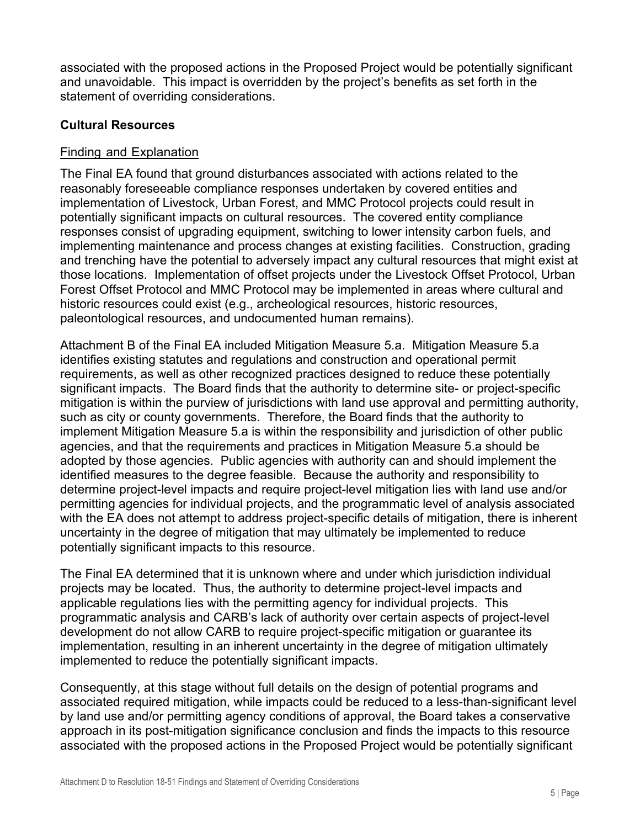associated with the proposed actions in the Proposed Project would be potentially significant and unavoidable. This impact is overridden by the project's benefits as set forth in the statement of overriding considerations.

### **Cultural Resources**

### Finding and Explanation

The Final EA found that ground disturbances associated with actions related to the reasonably foreseeable compliance responses undertaken by covered entities and implementation of Livestock, Urban Forest, and MMC Protocol projects could result in potentially significant impacts on cultural resources. The covered entity compliance responses consist of upgrading equipment, switching to lower intensity carbon fuels, and implementing maintenance and process changes at existing facilities. Construction, grading and trenching have the potential to adversely impact any cultural resources that might exist at those locations. Implementation of offset projects under the Livestock Offset Protocol, Urban Forest Offset Protocol and MMC Protocol may be implemented in areas where cultural and historic resources could exist (e.g., archeological resources, historic resources, paleontological resources, and undocumented human remains).

Attachment B of the Final EA included Mitigation Measure 5.a. Mitigation Measure 5.a identifies existing statutes and regulations and construction and operational permit requirements, as well as other recognized practices designed to reduce these potentially significant impacts. The Board finds that the authority to determine site- or project-specific mitigation is within the purview of jurisdictions with land use approval and permitting authority, such as city or county governments. Therefore, the Board finds that the authority to implement Mitigation Measure 5.a is within the responsibility and jurisdiction of other public agencies, and that the requirements and practices in Mitigation Measure 5.a should be adopted by those agencies. Public agencies with authority can and should implement the identified measures to the degree feasible. Because the authority and responsibility to determine project-level impacts and require project-level mitigation lies with land use and/or permitting agencies for individual projects, and the programmatic level of analysis associated with the EA does not attempt to address project-specific details of mitigation, there is inherent uncertainty in the degree of mitigation that may ultimately be implemented to reduce potentially significant impacts to this resource.

The Final EA determined that it is unknown where and under which jurisdiction individual projects may be located. Thus, the authority to determine project-level impacts and applicable regulations lies with the permitting agency for individual projects. This programmatic analysis and CARB's lack of authority over certain aspects of project-level development do not allow CARB to require project-specific mitigation or guarantee its implementation, resulting in an inherent uncertainty in the degree of mitigation ultimately implemented to reduce the potentially significant impacts.

Consequently, at this stage without full details on the design of potential programs and associated required mitigation, while impacts could be reduced to a less-than-significant level by land use and/or permitting agency conditions of approval, the Board takes a conservative approach in its post-mitigation significance conclusion and finds the impacts to this resource associated with the proposed actions in the Proposed Project would be potentially significant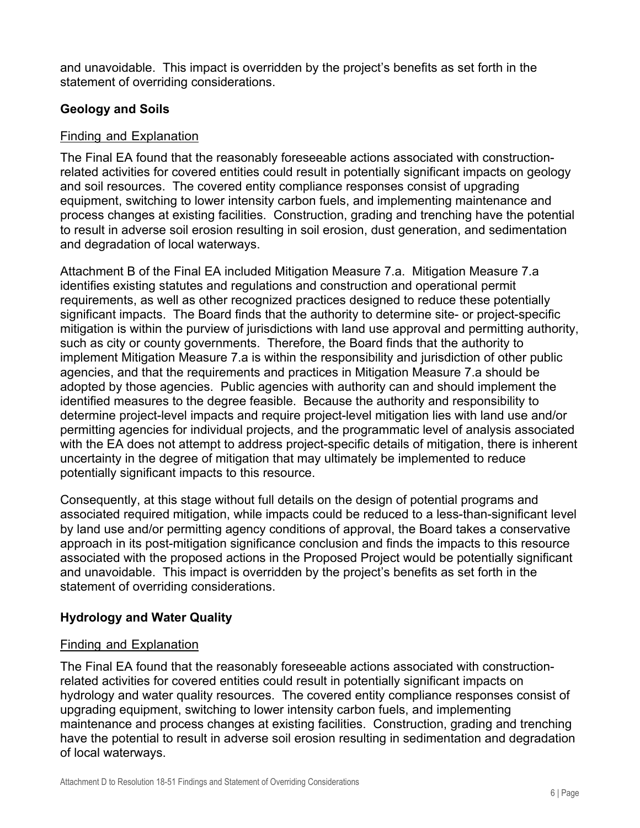and unavoidable. This impact is overridden by the project's benefits as set forth in the statement of overriding considerations.

### **Geology and Soils**

### Finding and Explanation

The Final EA found that the reasonably foreseeable actions associated with constructionrelated activities for covered entities could result in potentially significant impacts on geology and soil resources. The covered entity compliance responses consist of upgrading equipment, switching to lower intensity carbon fuels, and implementing maintenance and process changes at existing facilities. Construction, grading and trenching have the potential to result in adverse soil erosion resulting in soil erosion, dust generation, and sedimentation and degradation of local waterways.

Attachment B of the Final EA included Mitigation Measure 7.a. Mitigation Measure 7.a identifies existing statutes and regulations and construction and operational permit requirements, as well as other recognized practices designed to reduce these potentially significant impacts. The Board finds that the authority to determine site- or project-specific mitigation is within the purview of jurisdictions with land use approval and permitting authority, such as city or county governments. Therefore, the Board finds that the authority to implement Mitigation Measure 7.a is within the responsibility and jurisdiction of other public agencies, and that the requirements and practices in Mitigation Measure 7.a should be adopted by those agencies. Public agencies with authority can and should implement the identified measures to the degree feasible. Because the authority and responsibility to determine project-level impacts and require project-level mitigation lies with land use and/or permitting agencies for individual projects, and the programmatic level of analysis associated with the EA does not attempt to address project-specific details of mitigation, there is inherent uncertainty in the degree of mitigation that may ultimately be implemented to reduce potentially significant impacts to this resource.

Consequently, at this stage without full details on the design of potential programs and associated required mitigation, while impacts could be reduced to a less-than-significant level by land use and/or permitting agency conditions of approval, the Board takes a conservative approach in its post-mitigation significance conclusion and finds the impacts to this resource associated with the proposed actions in the Proposed Project would be potentially significant and unavoidable. This impact is overridden by the project's benefits as set forth in the statement of overriding considerations.

# **Hydrology and Water Quality**

### Finding and Explanation

The Final EA found that the reasonably foreseeable actions associated with constructionrelated activities for covered entities could result in potentially significant impacts on hydrology and water quality resources. The covered entity compliance responses consist of upgrading equipment, switching to lower intensity carbon fuels, and implementing maintenance and process changes at existing facilities. Construction, grading and trenching have the potential to result in adverse soil erosion resulting in sedimentation and degradation of local waterways.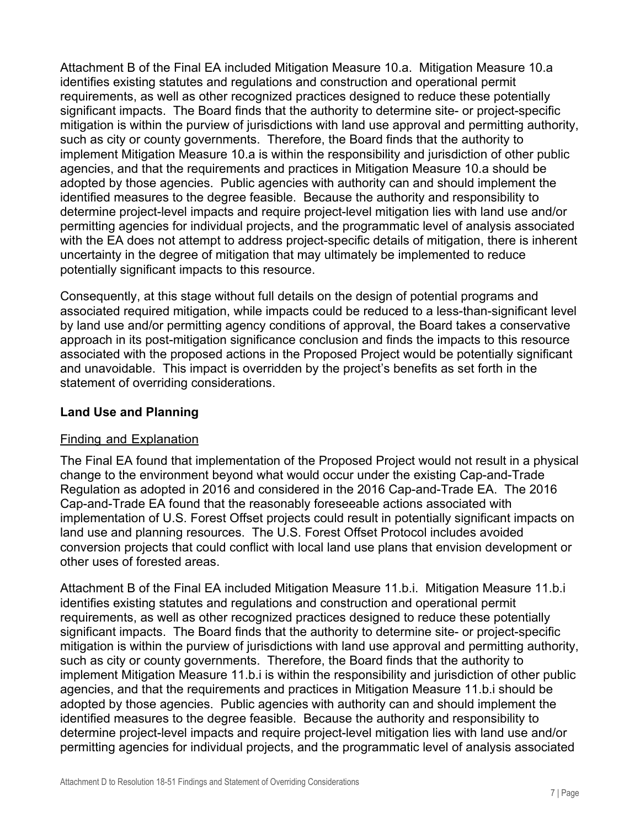Attachment B of the Final EA included Mitigation Measure 10.a. Mitigation Measure 10.a identifies existing statutes and regulations and construction and operational permit requirements, as well as other recognized practices designed to reduce these potentially significant impacts. The Board finds that the authority to determine site- or project-specific mitigation is within the purview of jurisdictions with land use approval and permitting authority, such as city or county governments. Therefore, the Board finds that the authority to implement Mitigation Measure 10.a is within the responsibility and jurisdiction of other public agencies, and that the requirements and practices in Mitigation Measure 10.a should be adopted by those agencies. Public agencies with authority can and should implement the identified measures to the degree feasible. Because the authority and responsibility to determine project-level impacts and require project-level mitigation lies with land use and/or permitting agencies for individual projects, and the programmatic level of analysis associated with the EA does not attempt to address project-specific details of mitigation, there is inherent uncertainty in the degree of mitigation that may ultimately be implemented to reduce potentially significant impacts to this resource.

Consequently, at this stage without full details on the design of potential programs and associated required mitigation, while impacts could be reduced to a less-than-significant level by land use and/or permitting agency conditions of approval, the Board takes a conservative approach in its post-mitigation significance conclusion and finds the impacts to this resource associated with the proposed actions in the Proposed Project would be potentially significant and unavoidable. This impact is overridden by the project's benefits as set forth in the statement of overriding considerations.

# **Land Use and Planning**

### Finding and Explanation

The Final EA found that implementation of the Proposed Project would not result in a physical change to the environment beyond what would occur under the existing Cap-and-Trade Regulation as adopted in 2016 and considered in the 2016 Cap-and-Trade EA. The 2016 Cap-and-Trade EA found that the reasonably foreseeable actions associated with implementation of U.S. Forest Offset projects could result in potentially significant impacts on land use and planning resources. The U.S. Forest Offset Protocol includes avoided conversion projects that could conflict with local land use plans that envision development or other uses of forested areas.

Attachment B of the Final EA included Mitigation Measure 11.b.i. Mitigation Measure 11.b.i identifies existing statutes and regulations and construction and operational permit requirements, as well as other recognized practices designed to reduce these potentially significant impacts. The Board finds that the authority to determine site- or project-specific mitigation is within the purview of jurisdictions with land use approval and permitting authority, such as city or county governments. Therefore, the Board finds that the authority to implement Mitigation Measure 11.b.i is within the responsibility and jurisdiction of other public agencies, and that the requirements and practices in Mitigation Measure 11.b.i should be adopted by those agencies. Public agencies with authority can and should implement the identified measures to the degree feasible. Because the authority and responsibility to determine project-level impacts and require project-level mitigation lies with land use and/or permitting agencies for individual projects, and the programmatic level of analysis associated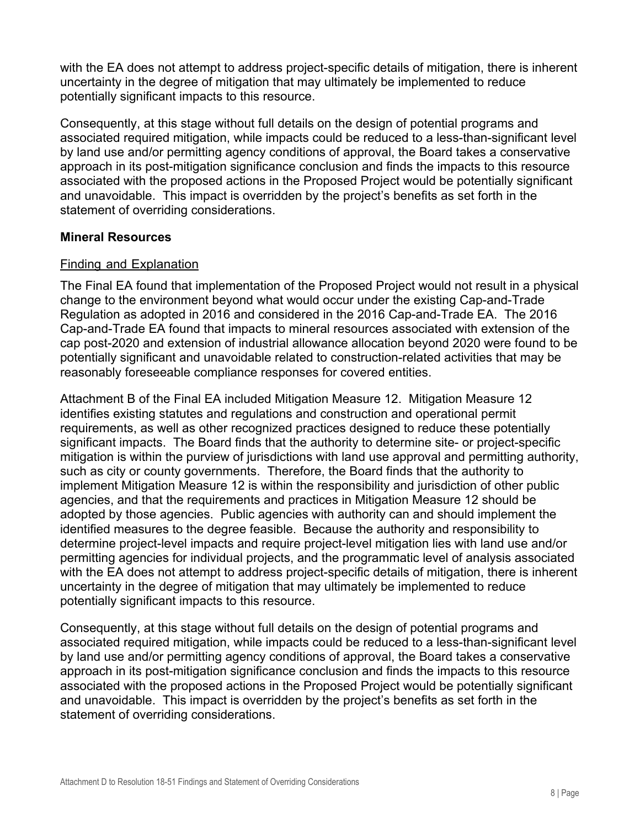with the EA does not attempt to address project-specific details of mitigation, there is inherent uncertainty in the degree of mitigation that may ultimately be implemented to reduce potentially significant impacts to this resource.

Consequently, at this stage without full details on the design of potential programs and associated required mitigation, while impacts could be reduced to a less-than-significant level by land use and/or permitting agency conditions of approval, the Board takes a conservative approach in its post-mitigation significance conclusion and finds the impacts to this resource associated with the proposed actions in the Proposed Project would be potentially significant and unavoidable. This impact is overridden by the project's benefits as set forth in the statement of overriding considerations.

### **Mineral Resources**

# Finding and Explanation

The Final EA found that implementation of the Proposed Project would not result in a physical change to the environment beyond what would occur under the existing Cap-and-Trade Regulation as adopted in 2016 and considered in the 2016 Cap-and-Trade EA. The 2016 Cap-and-Trade EA found that impacts to mineral resources associated with extension of the cap post-2020 and extension of industrial allowance allocation beyond 2020 were found to be potentially significant and unavoidable related to construction-related activities that may be reasonably foreseeable compliance responses for covered entities.

Attachment B of the Final EA included Mitigation Measure 12. Mitigation Measure 12 identifies existing statutes and regulations and construction and operational permit requirements, as well as other recognized practices designed to reduce these potentially significant impacts. The Board finds that the authority to determine site- or project-specific mitigation is within the purview of jurisdictions with land use approval and permitting authority, such as city or county governments. Therefore, the Board finds that the authority to implement Mitigation Measure 12 is within the responsibility and jurisdiction of other public agencies, and that the requirements and practices in Mitigation Measure 12 should be adopted by those agencies. Public agencies with authority can and should implement the identified measures to the degree feasible. Because the authority and responsibility to determine project-level impacts and require project-level mitigation lies with land use and/or permitting agencies for individual projects, and the programmatic level of analysis associated with the EA does not attempt to address project-specific details of mitigation, there is inherent uncertainty in the degree of mitigation that may ultimately be implemented to reduce potentially significant impacts to this resource.

Consequently, at this stage without full details on the design of potential programs and associated required mitigation, while impacts could be reduced to a less-than-significant level by land use and/or permitting agency conditions of approval, the Board takes a conservative approach in its post-mitigation significance conclusion and finds the impacts to this resource associated with the proposed actions in the Proposed Project would be potentially significant and unavoidable. This impact is overridden by the project's benefits as set forth in the statement of overriding considerations.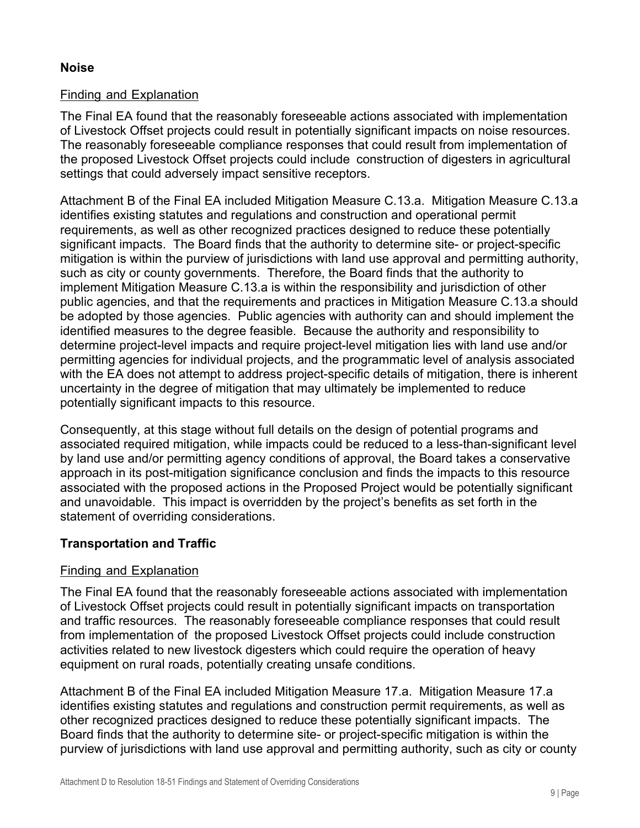### **Noise**

### Finding and Explanation

The Final EA found that the reasonably foreseeable actions associated with implementation of Livestock Offset projects could result in potentially significant impacts on noise resources. The reasonably foreseeable compliance responses that could result from implementation of the proposed Livestock Offset projects could include construction of digesters in agricultural settings that could adversely impact sensitive receptors.

Attachment B of the Final EA included Mitigation Measure C.13.a. Mitigation Measure C.13.a identifies existing statutes and regulations and construction and operational permit requirements, as well as other recognized practices designed to reduce these potentially significant impacts. The Board finds that the authority to determine site- or project-specific mitigation is within the purview of jurisdictions with land use approval and permitting authority, such as city or county governments. Therefore, the Board finds that the authority to implement Mitigation Measure C.13.a is within the responsibility and jurisdiction of other public agencies, and that the requirements and practices in Mitigation Measure C.13.a should be adopted by those agencies. Public agencies with authority can and should implement the identified measures to the degree feasible. Because the authority and responsibility to determine project-level impacts and require project-level mitigation lies with land use and/or permitting agencies for individual projects, and the programmatic level of analysis associated with the EA does not attempt to address project-specific details of mitigation, there is inherent uncertainty in the degree of mitigation that may ultimately be implemented to reduce potentially significant impacts to this resource.

Consequently, at this stage without full details on the design of potential programs and associated required mitigation, while impacts could be reduced to a less-than-significant level by land use and/or permitting agency conditions of approval, the Board takes a conservative approach in its post-mitigation significance conclusion and finds the impacts to this resource associated with the proposed actions in the Proposed Project would be potentially significant and unavoidable. This impact is overridden by the project's benefits as set forth in the statement of overriding considerations.

# **Transportation and Traffic**

# Finding and Explanation

The Final EA found that the reasonably foreseeable actions associated with implementation of Livestock Offset projects could result in potentially significant impacts on transportation and traffic resources. The reasonably foreseeable compliance responses that could result from implementation of the proposed Livestock Offset projects could include construction activities related to new livestock digesters which could require the operation of heavy equipment on rural roads, potentially creating unsafe conditions.

Attachment B of the Final EA included Mitigation Measure 17.a. Mitigation Measure 17.a identifies existing statutes and regulations and construction permit requirements, as well as other recognized practices designed to reduce these potentially significant impacts. The Board finds that the authority to determine site- or project-specific mitigation is within the purview of jurisdictions with land use approval and permitting authority, such as city or county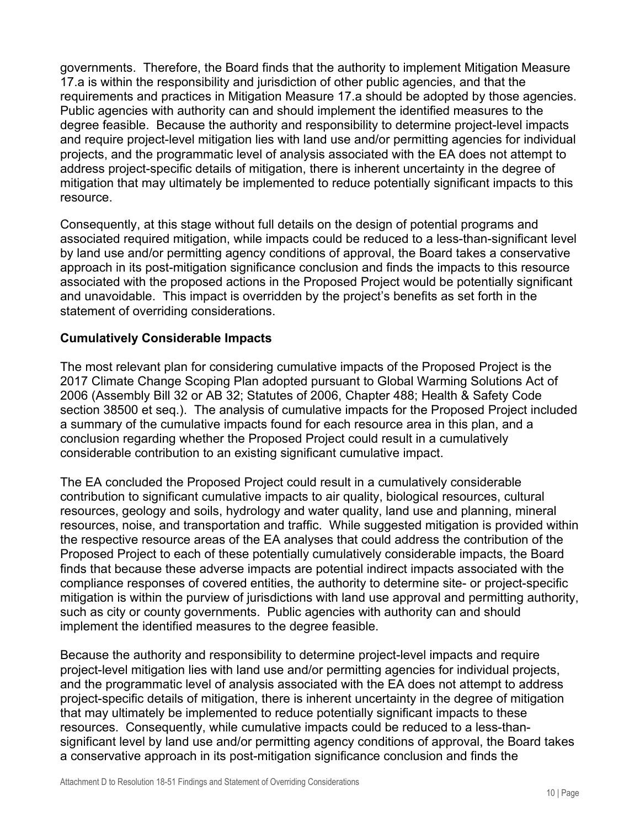governments. Therefore, the Board finds that the authority to implement Mitigation Measure 17.a is within the responsibility and jurisdiction of other public agencies, and that the requirements and practices in Mitigation Measure 17.a should be adopted by those agencies. Public agencies with authority can and should implement the identified measures to the degree feasible. Because the authority and responsibility to determine project-level impacts and require project-level mitigation lies with land use and/or permitting agencies for individual projects, and the programmatic level of analysis associated with the EA does not attempt to address project-specific details of mitigation, there is inherent uncertainty in the degree of mitigation that may ultimately be implemented to reduce potentially significant impacts to this resource.

Consequently, at this stage without full details on the design of potential programs and associated required mitigation, while impacts could be reduced to a less-than-significant level by land use and/or permitting agency conditions of approval, the Board takes a conservative approach in its post-mitigation significance conclusion and finds the impacts to this resource associated with the proposed actions in the Proposed Project would be potentially significant and unavoidable. This impact is overridden by the project's benefits as set forth in the statement of overriding considerations.

### **Cumulatively Considerable Impacts**

The most relevant plan for considering cumulative impacts of the Proposed Project is the 2017 Climate Change Scoping Plan adopted pursuant to Global Warming Solutions Act of 2006 (Assembly Bill 32 or AB 32; Statutes of 2006, Chapter 488; Health & Safety Code section 38500 et seq.). The analysis of cumulative impacts for the Proposed Project included a summary of the cumulative impacts found for each resource area in this plan, and a conclusion regarding whether the Proposed Project could result in a cumulatively considerable contribution to an existing significant cumulative impact.

The EA concluded the Proposed Project could result in a cumulatively considerable contribution to significant cumulative impacts to air quality, biological resources, cultural resources, geology and soils, hydrology and water quality, land use and planning, mineral resources, noise, and transportation and traffic. While suggested mitigation is provided within the respective resource areas of the EA analyses that could address the contribution of the Proposed Project to each of these potentially cumulatively considerable impacts, the Board finds that because these adverse impacts are potential indirect impacts associated with the compliance responses of covered entities, the authority to determine site- or project-specific mitigation is within the purview of jurisdictions with land use approval and permitting authority, such as city or county governments. Public agencies with authority can and should implement the identified measures to the degree feasible.

Because the authority and responsibility to determine project-level impacts and require project-level mitigation lies with land use and/or permitting agencies for individual projects, and the programmatic level of analysis associated with the EA does not attempt to address project-specific details of mitigation, there is inherent uncertainty in the degree of mitigation that may ultimately be implemented to reduce potentially significant impacts to these resources. Consequently, while cumulative impacts could be reduced to a less-thansignificant level by land use and/or permitting agency conditions of approval, the Board takes a conservative approach in its post-mitigation significance conclusion and finds the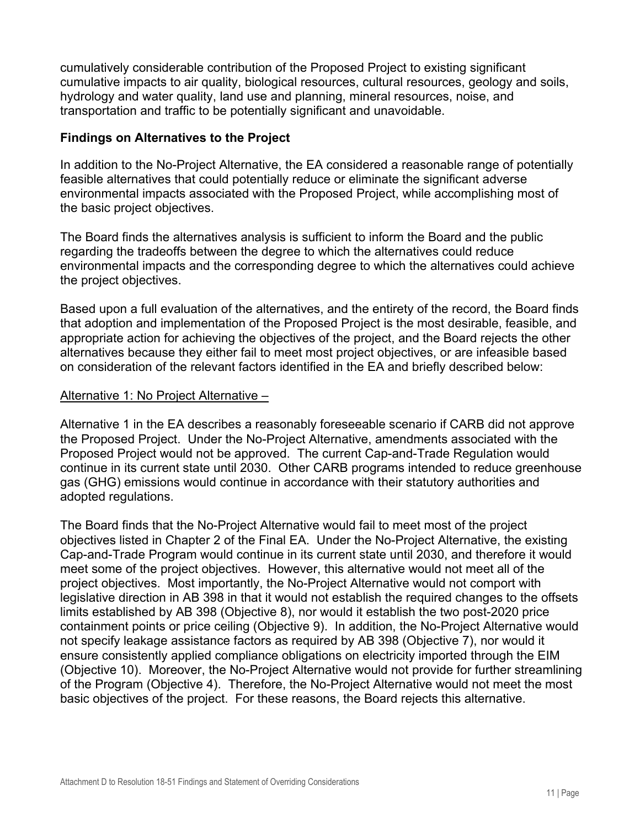cumulatively considerable contribution of the Proposed Project to existing significant cumulative impacts to air quality, biological resources, cultural resources, geology and soils, hydrology and water quality, land use and planning, mineral resources, noise, and transportation and traffic to be potentially significant and unavoidable.

### **Findings on Alternatives to the Project**

In addition to the No-Project Alternative, the EA considered a reasonable range of potentially feasible alternatives that could potentially reduce or eliminate the significant adverse environmental impacts associated with the Proposed Project, while accomplishing most of the basic project objectives.

The Board finds the alternatives analysis is sufficient to inform the Board and the public regarding the tradeoffs between the degree to which the alternatives could reduce environmental impacts and the corresponding degree to which the alternatives could achieve the project objectives.

Based upon a full evaluation of the alternatives, and the entirety of the record, the Board finds that adoption and implementation of the Proposed Project is the most desirable, feasible, and appropriate action for achieving the objectives of the project, and the Board rejects the other alternatives because they either fail to meet most project objectives, or are infeasible based on consideration of the relevant factors identified in the EA and briefly described below:

### Alternative 1: No Project Alternative –

Alternative 1 in the EA describes a reasonably foreseeable scenario if CARB did not approve the Proposed Project. Under the No-Project Alternative, amendments associated with the Proposed Project would not be approved. The current Cap-and-Trade Regulation would continue in its current state until 2030. Other CARB programs intended to reduce greenhouse gas (GHG) emissions would continue in accordance with their statutory authorities and adopted regulations.

The Board finds that the No-Project Alternative would fail to meet most of the project objectives listed in Chapter 2 of the Final EA. Under the No-Project Alternative, the existing Cap-and-Trade Program would continue in its current state until 2030, and therefore it would meet some of the project objectives. However, this alternative would not meet all of the project objectives. Most importantly, the No-Project Alternative would not comport with legislative direction in AB 398 in that it would not establish the required changes to the offsets limits established by AB 398 (Objective 8), nor would it establish the two post-2020 price containment points or price ceiling (Objective 9). In addition, the No-Project Alternative would not specify leakage assistance factors as required by AB 398 (Objective 7), nor would it ensure consistently applied compliance obligations on electricity imported through the EIM (Objective 10). Moreover, the No-Project Alternative would not provide for further streamlining of the Program (Objective 4). Therefore, the No-Project Alternative would not meet the most basic objectives of the project. For these reasons, the Board rejects this alternative.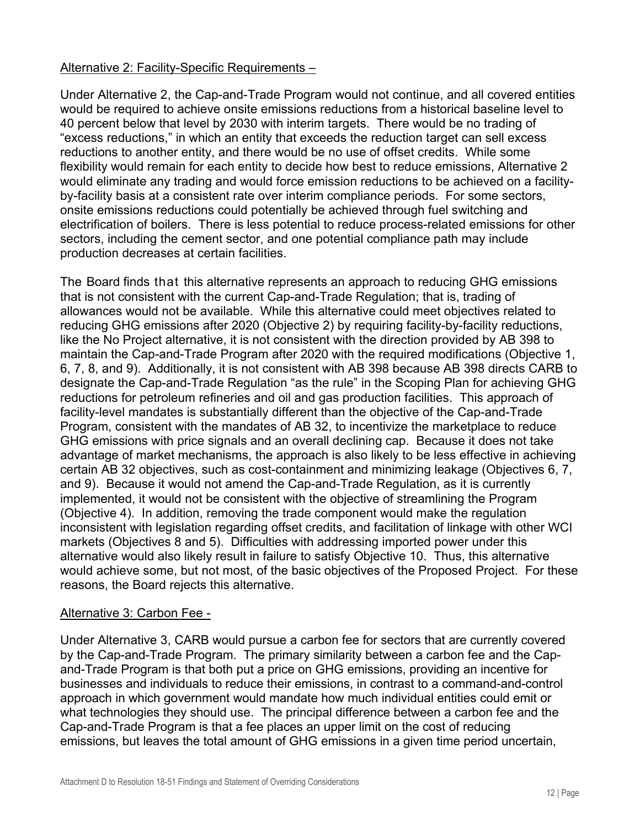### Alternative 2: Facility-Specific Requirements –

Under Alternative 2, the Cap-and-Trade Program would not continue, and all covered entities would be required to achieve onsite emissions reductions from a historical baseline level to 40 percent below that level by 2030 with interim targets. There would be no trading of "excess reductions," in which an entity that exceeds the reduction target can sell excess reductions to another entity, and there would be no use of offset credits. While some flexibility would remain for each entity to decide how best to reduce emissions, Alternative 2 would eliminate any trading and would force emission reductions to be achieved on a facilityby-facility basis at a consistent rate over interim compliance periods. For some sectors, onsite emissions reductions could potentially be achieved through fuel switching and electrification of boilers. There is less potential to reduce process-related emissions for other sectors, including the cement sector, and one potential compliance path may include production decreases at certain facilities.

The Board finds that this alternative represents an approach to reducing GHG emissions that is not consistent with the current Cap-and-Trade Regulation; that is, trading of allowances would not be available. While this alternative could meet objectives related to reducing GHG emissions after 2020 (Objective 2) by requiring facility-by-facility reductions, like the No Project alternative, it is not consistent with the direction provided by AB 398 to maintain the Cap-and-Trade Program after 2020 with the required modifications (Objective 1, 6, 7, 8, and 9). Additionally, it is not consistent with AB 398 because AB 398 directs CARB to designate the Cap-and-Trade Regulation "as the rule" in the Scoping Plan for achieving GHG reductions for petroleum refineries and oil and gas production facilities. This approach of facility-level mandates is substantially different than the objective of the Cap-and-Trade Program, consistent with the mandates of AB 32, to incentivize the marketplace to reduce GHG emissions with price signals and an overall declining cap. Because it does not take advantage of market mechanisms, the approach is also likely to be less effective in achieving certain AB 32 objectives, such as cost-containment and minimizing leakage (Objectives 6, 7, and 9). Because it would not amend the Cap-and-Trade Regulation, as it is currently implemented, it would not be consistent with the objective of streamlining the Program (Objective 4). In addition, removing the trade component would make the regulation inconsistent with legislation regarding offset credits, and facilitation of linkage with other WCI markets (Objectives 8 and 5). Difficulties with addressing imported power under this alternative would also likely result in failure to satisfy Objective 10. Thus, this alternative would achieve some, but not most, of the basic objectives of the Proposed Project. For these reasons, the Board rejects this alternative.

### Alternative 3: Carbon Fee -

Under Alternative 3, CARB would pursue a carbon fee for sectors that are currently covered by the Cap-and-Trade Program. The primary similarity between a carbon fee and the Capand-Trade Program is that both put a price on GHG emissions, providing an incentive for businesses and individuals to reduce their emissions, in contrast to a command-and-control approach in which government would mandate how much individual entities could emit or what technologies they should use. The principal difference between a carbon fee and the Cap-and-Trade Program is that a fee places an upper limit on the cost of reducing emissions, but leaves the total amount of GHG emissions in a given time period uncertain,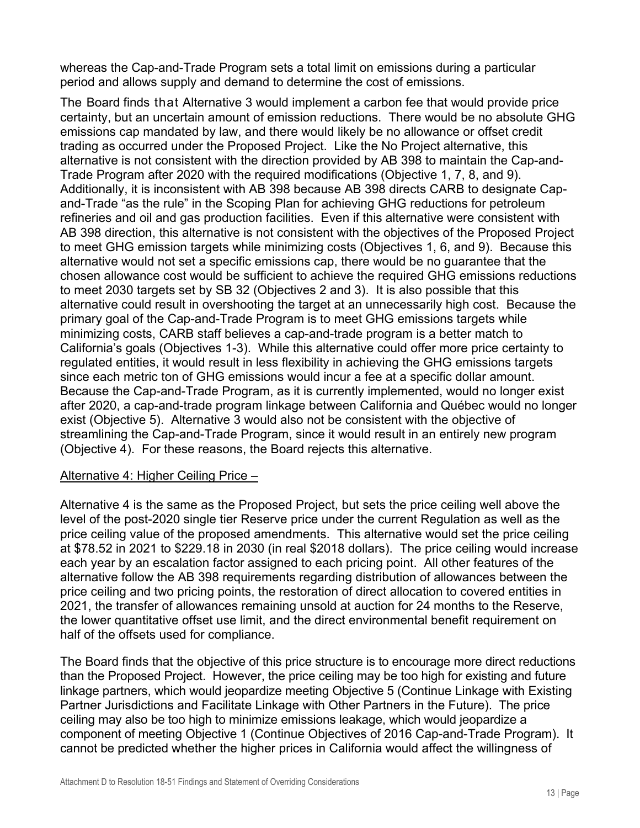whereas the Cap-and-Trade Program sets a total limit on emissions during a particular period and allows supply and demand to determine the cost of emissions.

The Board finds that Alternative 3 would implement a carbon fee that would provide price certainty, but an uncertain amount of emission reductions. There would be no absolute GHG emissions cap mandated by law, and there would likely be no allowance or offset credit trading as occurred under the Proposed Project. Like the No Project alternative, this alternative is not consistent with the direction provided by AB 398 to maintain the Cap-and-Trade Program after 2020 with the required modifications (Objective 1, 7, 8, and 9). Additionally, it is inconsistent with AB 398 because AB 398 directs CARB to designate Capand-Trade "as the rule" in the Scoping Plan for achieving GHG reductions for petroleum refineries and oil and gas production facilities. Even if this alternative were consistent with AB 398 direction, this alternative is not consistent with the objectives of the Proposed Project to meet GHG emission targets while minimizing costs (Objectives 1, 6, and 9). Because this alternative would not set a specific emissions cap, there would be no guarantee that the chosen allowance cost would be sufficient to achieve the required GHG emissions reductions to meet 2030 targets set by SB 32 (Objectives 2 and 3). It is also possible that this alternative could result in overshooting the target at an unnecessarily high cost. Because the primary goal of the Cap-and-Trade Program is to meet GHG emissions targets while minimizing costs, CARB staff believes a cap-and-trade program is a better match to California's goals (Objectives 1-3). While this alternative could offer more price certainty to regulated entities, it would result in less flexibility in achieving the GHG emissions targets since each metric ton of GHG emissions would incur a fee at a specific dollar amount. Because the Cap-and-Trade Program, as it is currently implemented, would no longer exist after 2020, a cap-and-trade program linkage between California and Québec would no longer exist (Objective 5). Alternative 3 would also not be consistent with the objective of streamlining the Cap-and-Trade Program, since it would result in an entirely new program (Objective 4). For these reasons, the Board rejects this alternative.

### Alternative 4: Higher Ceiling Price –

Alternative 4 is the same as the Proposed Project, but sets the price ceiling well above the level of the post-2020 single tier Reserve price under the current Regulation as well as the price ceiling value of the proposed amendments. This alternative would set the price ceiling at \$78.52 in 2021 to \$229.18 in 2030 (in real \$2018 dollars). The price ceiling would increase each year by an escalation factor assigned to each pricing point. All other features of the alternative follow the AB 398 requirements regarding distribution of allowances between the price ceiling and two pricing points, the restoration of direct allocation to covered entities in 2021, the transfer of allowances remaining unsold at auction for 24 months to the Reserve, the lower quantitative offset use limit, and the direct environmental benefit requirement on half of the offsets used for compliance.

The Board finds that the objective of this price structure is to encourage more direct reductions than the Proposed Project. However, the price ceiling may be too high for existing and future linkage partners, which would jeopardize meeting Objective 5 (Continue Linkage with Existing Partner Jurisdictions and Facilitate Linkage with Other Partners in the Future). The price ceiling may also be too high to minimize emissions leakage, which would jeopardize a component of meeting Objective 1 (Continue Objectives of 2016 Cap-and-Trade Program). It cannot be predicted whether the higher prices in California would affect the willingness of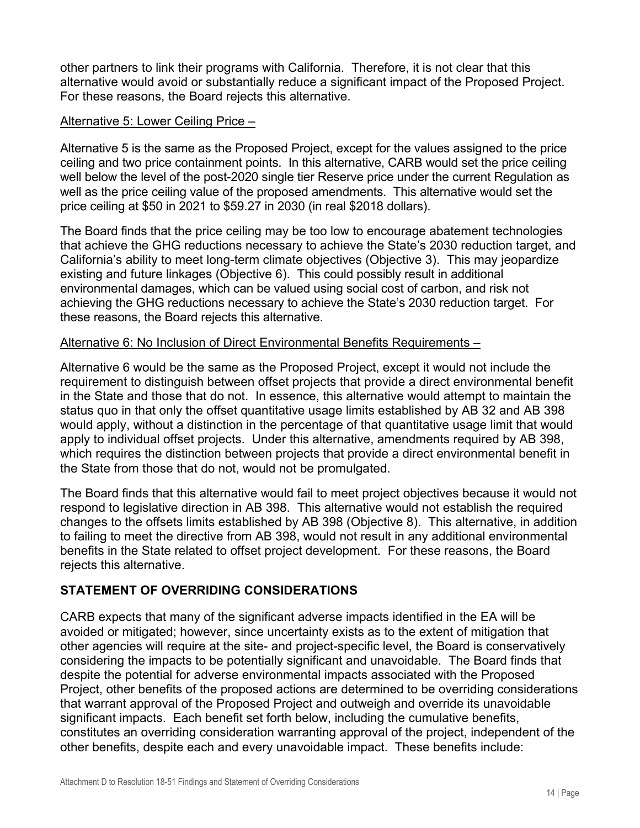other partners to link their programs with California. Therefore, it is not clear that this alternative would avoid or substantially reduce a significant impact of the Proposed Project. For these reasons, the Board rejects this alternative.

### Alternative 5: Lower Ceiling Price –

Alternative 5 is the same as the Proposed Project, except for the values assigned to the price ceiling and two price containment points. In this alternative, CARB would set the price ceiling well below the level of the post-2020 single tier Reserve price under the current Regulation as well as the price ceiling value of the proposed amendments. This alternative would set the price ceiling at \$50 in 2021 to \$59.27 in 2030 (in real \$2018 dollars).

The Board finds that the price ceiling may be too low to encourage abatement technologies that achieve the GHG reductions necessary to achieve the State's 2030 reduction target, and California's ability to meet long-term climate objectives (Objective 3). This may jeopardize existing and future linkages (Objective 6). This could possibly result in additional environmental damages, which can be valued using social cost of carbon, and risk not achieving the GHG reductions necessary to achieve the State's 2030 reduction target. For these reasons, the Board rejects this alternative.

### Alternative 6: No Inclusion of Direct Environmental Benefits Requirements -

Alternative 6 would be the same as the Proposed Project, except it would not include the requirement to distinguish between offset projects that provide a direct environmental benefit in the State and those that do not. In essence, this alternative would attempt to maintain the status quo in that only the offset quantitative usage limits established by AB 32 and AB 398 would apply, without a distinction in the percentage of that quantitative usage limit that would apply to individual offset projects. Under this alternative, amendments required by AB 398, which requires the distinction between projects that provide a direct environmental benefit in the State from those that do not, would not be promulgated.

The Board finds that this alternative would fail to meet project objectives because it would not respond to legislative direction in AB 398. This alternative would not establish the required changes to the offsets limits established by AB 398 (Objective 8). This alternative, in addition to failing to meet the directive from AB 398, would not result in any additional environmental benefits in the State related to offset project development. For these reasons, the Board rejects this alternative.

### **STATEMENT OF OVERRIDING CONSIDERATIONS**

CARB expects that many of the significant adverse impacts identified in the EA will be avoided or mitigated; however, since uncertainty exists as to the extent of mitigation that other agencies will require at the site- and project-specific level, the Board is conservatively considering the impacts to be potentially significant and unavoidable. The Board finds that despite the potential for adverse environmental impacts associated with the Proposed Project, other benefits of the proposed actions are determined to be overriding considerations that warrant approval of the Proposed Project and outweigh and override its unavoidable significant impacts. Each benefit set forth below, including the cumulative benefits, constitutes an overriding consideration warranting approval of the project, independent of the other benefits, despite each and every unavoidable impact. These benefits include: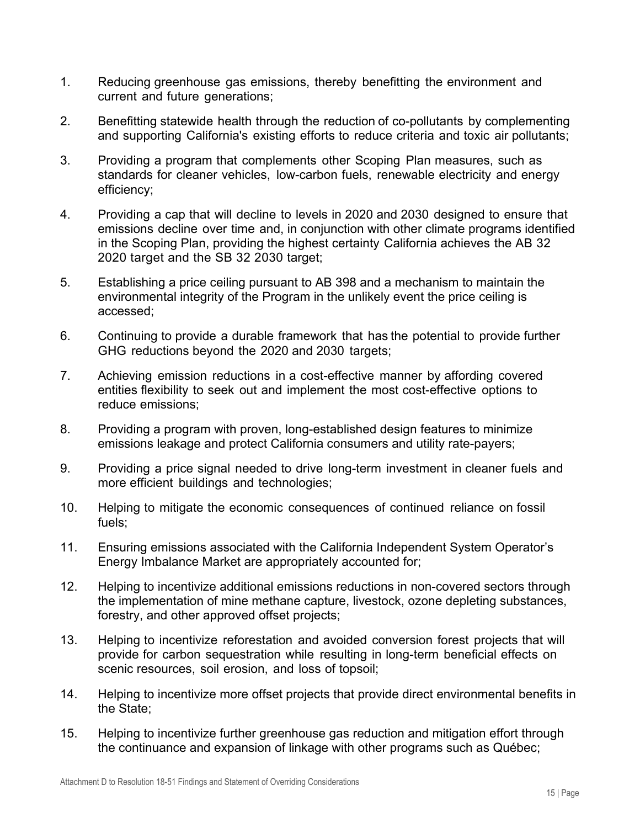- 1. Reducing greenhouse gas emissions, thereby benefitting the environment and current and future generations;
- 2. Benefitting statewide health through the reduction of co-pollutants by complementing and supporting California's existing efforts to reduce criteria and toxic air pollutants;
- 3. Providing a program that complements other Scoping Plan measures, such as standards for cleaner vehicles, low-carbon fuels, renewable electricity and energy efficiency;
- 4. Providing a cap that will decline to levels in 2020 and 2030 designed to ensure that emissions decline over time and, in conjunction with other climate programs identified in the Scoping Plan, providing the highest certainty California achieves the AB 32 2020 target and the SB 32 2030 target;
- 5. Establishing a price ceiling pursuant to AB 398 and a mechanism to maintain the environmental integrity of the Program in the unlikely event the price ceiling is accessed;
- 6. Continuing to provide a durable framework that has the potential to provide further GHG reductions beyond the 2020 and 2030 targets;
- 7. Achieving emission reductions in a cost-effective manner by affording covered entities flexibility to seek out and implement the most cost-effective options to reduce emissions;
- 8. Providing a program with proven, long-established design features to minimize emissions leakage and protect California consumers and utility rate-payers;
- 9. Providing a price signal needed to drive long-term investment in cleaner fuels and more efficient buildings and technologies;
- 10. Helping to mitigate the economic consequences of continued reliance on fossil fuels;
- 11. Ensuring emissions associated with the California Independent System Operator's Energy Imbalance Market are appropriately accounted for;
- 12. Helping to incentivize additional emissions reductions in non-covered sectors through the implementation of mine methane capture, livestock, ozone depleting substances, forestry, and other approved offset projects;
- 13. Helping to incentivize reforestation and avoided conversion forest projects that will provide for carbon sequestration while resulting in long-term beneficial effects on scenic resources, soil erosion, and loss of topsoil;
- 14. Helping to incentivize more offset projects that provide direct environmental benefits in the State;
- 15. Helping to incentivize further greenhouse gas reduction and mitigation effort through the continuance and expansion of linkage with other programs such as Québec;